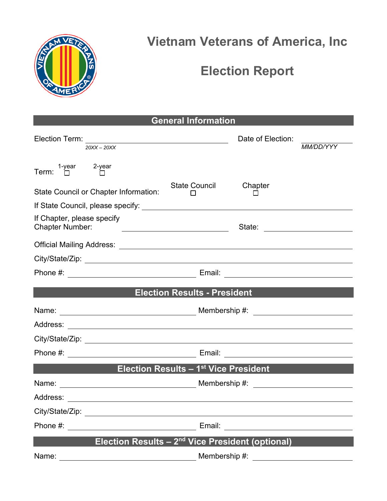

## **Vietnam Veterans of America, Inc**

## **Election Report**

**General Information** 

| Election Term:<br>20XX - 20XX                                                                                                                                                                                                 | Date of Election:<br>MM/DD/YYY                                                                                       |  |
|-------------------------------------------------------------------------------------------------------------------------------------------------------------------------------------------------------------------------------|----------------------------------------------------------------------------------------------------------------------|--|
| 1-year 2-year<br>$\square$<br>Term:                                                                                                                                                                                           |                                                                                                                      |  |
| State Council or Chapter Information:                                                                                                                                                                                         | Chapter<br><b>State Council</b>                                                                                      |  |
|                                                                                                                                                                                                                               |                                                                                                                      |  |
| If Chapter, please specify<br><b>Chapter Number:</b><br><u> Alexandria de la contrada de la contrada de la contrada de la contrada de la contrada de la contrada de la c</u>                                                  |                                                                                                                      |  |
|                                                                                                                                                                                                                               |                                                                                                                      |  |
|                                                                                                                                                                                                                               |                                                                                                                      |  |
|                                                                                                                                                                                                                               |                                                                                                                      |  |
|                                                                                                                                                                                                                               | <b>Example 2018 Election Results - President Annual Properties of the Contract Oriental Properties Annual Proper</b> |  |
|                                                                                                                                                                                                                               |                                                                                                                      |  |
|                                                                                                                                                                                                                               |                                                                                                                      |  |
|                                                                                                                                                                                                                               |                                                                                                                      |  |
|                                                                                                                                                                                                                               |                                                                                                                      |  |
| Election Results - 1 <sup>st</sup> Vice President                                                                                                                                                                             |                                                                                                                      |  |
|                                                                                                                                                                                                                               |                                                                                                                      |  |
|                                                                                                                                                                                                                               |                                                                                                                      |  |
| City/State/Zip: example of the state of the state of the state of the state of the state of the state of the state of the state of the state of the state of the state of the state of the state of the state of the state of |                                                                                                                      |  |
| Phone #:                                                                                                                                                                                                                      | Email:                                                                                                               |  |
| Election Results - 2 <sup>nd</sup> Vice President (optional)                                                                                                                                                                  |                                                                                                                      |  |
| Name:                                                                                                                                                                                                                         | Membership #:                                                                                                        |  |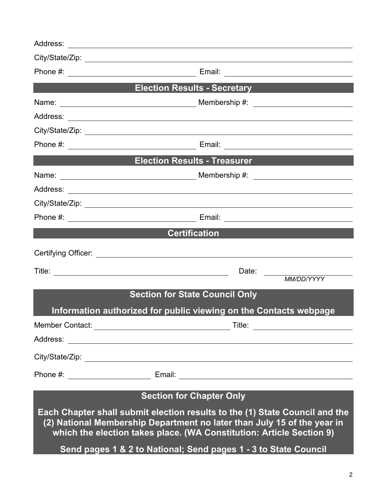| <b>Election Results - Secretary Election Results - Secretary</b>                                                                                                                                                               |                                                                   |  |  |  |
|--------------------------------------------------------------------------------------------------------------------------------------------------------------------------------------------------------------------------------|-------------------------------------------------------------------|--|--|--|
|                                                                                                                                                                                                                                |                                                                   |  |  |  |
|                                                                                                                                                                                                                                |                                                                   |  |  |  |
|                                                                                                                                                                                                                                |                                                                   |  |  |  |
|                                                                                                                                                                                                                                |                                                                   |  |  |  |
|                                                                                                                                                                                                                                | <b>Election Results - Treasurer Election Results</b>              |  |  |  |
|                                                                                                                                                                                                                                |                                                                   |  |  |  |
|                                                                                                                                                                                                                                |                                                                   |  |  |  |
|                                                                                                                                                                                                                                |                                                                   |  |  |  |
|                                                                                                                                                                                                                                |                                                                   |  |  |  |
|                                                                                                                                                                                                                                | <b>Certification</b>                                              |  |  |  |
|                                                                                                                                                                                                                                |                                                                   |  |  |  |
|                                                                                                                                                                                                                                | Date:<br>MM/DD/YYYY                                               |  |  |  |
|                                                                                                                                                                                                                                | <b>Section for State Council Only</b>                             |  |  |  |
|                                                                                                                                                                                                                                | Information authorized for public viewing on the Contacts webpage |  |  |  |
|                                                                                                                                                                                                                                |                                                                   |  |  |  |
|                                                                                                                                                                                                                                |                                                                   |  |  |  |
|                                                                                                                                                                                                                                |                                                                   |  |  |  |
|                                                                                                                                                                                                                                |                                                                   |  |  |  |
| <b>Section for Chapter Only</b>                                                                                                                                                                                                |                                                                   |  |  |  |
| Each Chapter shall submit election results to the (1) State Council and the<br>(2) National Membership Department no later than July 15 of the year in<br>which the election takes place. (WA Constitution: Article Section 9) |                                                                   |  |  |  |
| Send pages 1 & 2 to National; Send pages 1 - 3 to State Council                                                                                                                                                                |                                                                   |  |  |  |